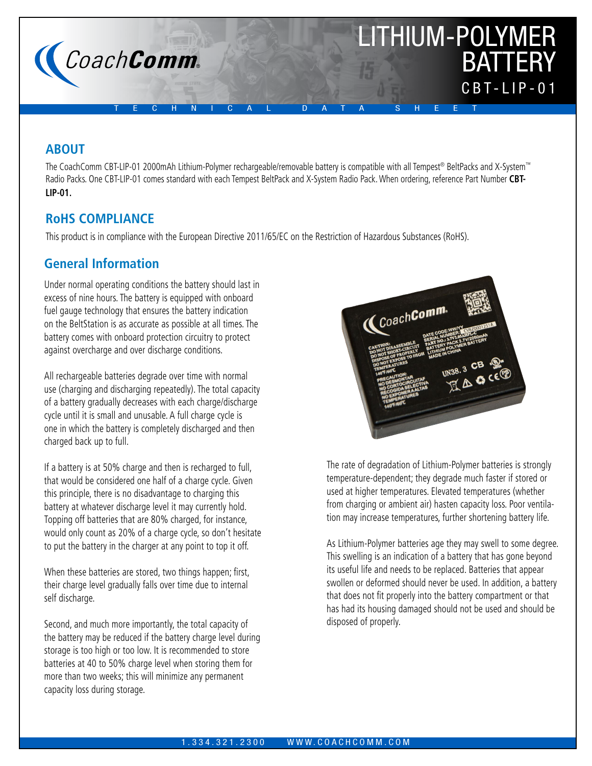

# **ABOUT**

The CoachComm CBT-LIP-01 2000mAh Lithium-Polymer rechargeable/removable battery is compatible with all Tempest® BeltPacks and X-System™ Radio Packs. One CBT-LIP-01 comes standard with each Tempest BeltPack and X-System Radio Pack. When ordering, reference Part Number **CBT-LIP-01.**

# **RoHS COMPLIANCE**

This product is in compliance with the European Directive 2011/65/EC on the Restriction of Hazardous Substances (RoHS).

# **General Information**

Under normal operating conditions the battery should last in excess of nine hours. The battery is equipped with onboard fuel gauge technology that ensures the battery indication on the BeltStation is as accurate as possible at all times. The battery comes with onboard protection circuitry to protect against overcharge and over discharge conditions.

All rechargeable batteries degrade over time with normal use (charging and discharging repeatedly). The total capacity of a battery gradually decreases with each charge/discharge cycle until it is small and unusable. A full charge cycle is one in which the battery is completely discharged and then charged back up to full.

If a battery is at 50% charge and then is recharged to full, that would be considered one half of a charge cycle. Given this principle, there is no disadvantage to charging this battery at whatever discharge level it may currently hold. Topping off batteries that are 80% charged, for instance, would only count as 20% of a charge cycle, so don't hesitate to put the battery in the charger at any point to top it off.

When these batteries are stored, two things happen; first, their charge level gradually falls over time due to internal self discharge.

Second, and much more importantly, the total capacity of the battery may be reduced if the battery charge level during storage is too high or too low. It is recommended to store batteries at 40 to 50% charge level when storing them for more than two weeks; this will minimize any permanent capacity loss during storage.



The rate of degradation of Lithium-Polymer batteries is strongly temperature-dependent; they degrade much faster if stored or used at higher temperatures. Elevated temperatures (whether from charging or ambient air) hasten capacity loss. Poor ventilation may increase temperatures, further shortening battery life.

As Lithium-Polymer batteries age they may swell to some degree. This swelling is an indication of a battery that has gone beyond its useful life and needs to be replaced. Batteries that appear swollen or deformed should never be used. In addition, a battery that does not fit properly into the battery compartment or that has had its housing damaged should not be used and should be disposed of properly.